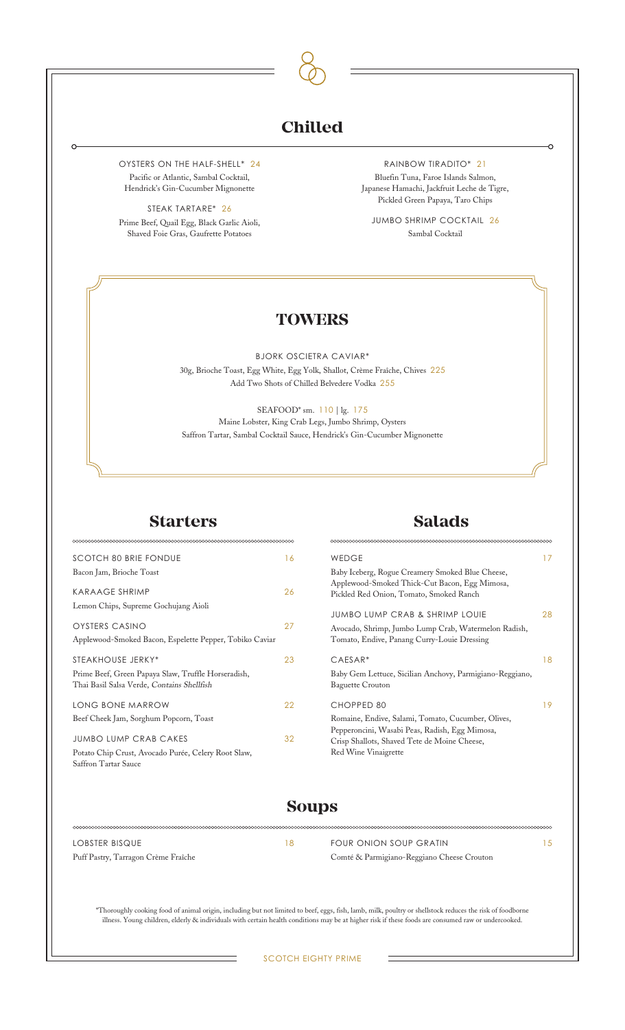## **Chilled**

OYSTERS ON THE HALF-SHELL\* 24 Pacific or Atlantic, Sambal Cocktail, Hendrick's Gin-Cucumber Mignonette

STEAK TARTARE\* 26 Prime Beef, Quail Egg, Black Garlic Aioli, Shaved Foie Gras, Gaufrette Potatoes

RAINBOW TIRADITO\* 21 Bluefin Tuna, Faroe Islands Salmon, Japanese Hamachi, Jackfruit Leche de Tigre, Pickled Green Papaya, Taro Chips

JUMBO SHRIMP COCKTAIL 26 Sambal Cocktail

#### **TOWERS**

BJORK OSCIETRA CAVIAR\* 30g, Brioche Toast, Egg White, Egg Yolk, Shallot, Crème Fraîche, Chives 225 Add Two Shots of Chilled Belvedere Vodka 255

SEAFOOD\* sm. 110 | lg. 175 Maine Lobster, King Crab Legs, Jumbo Shrimp, Oysters Saffron Tartar, Sambal Cocktail Sauce, Hendrick's Gin-Cucumber Mignonette

∞∞∞

#### **Starters**

#### SCOTCH 80 BRIE FONDUE 16 Bacon Jam, Brioche Toast KARAAGE SHRIMP 26 Lemon Chips, Supreme Gochujang Aioli OYSTERS CASINO 27 Applewood-Smoked Bacon, Espelette Pepper, Tobiko Caviar STEAKHOUSE JERKY\* 23 Prime Beef, Green Papaya Slaw, Truffle Horseradish, Thai Basil Salsa Verde, Contains Shellfish LONG BONE MARROW 22 Beef Cheek Jam, Sorghum Popcorn, Toast JUMBO LUMP CRAB CAKES 32 Potato Chip Crust, Avocado Purée, Celery Root Slaw,

### **Salads**

| WEDGE                                                    | 17 |
|----------------------------------------------------------|----|
| Baby Iceberg, Rogue Creamery Smoked Blue Cheese,         |    |
| Applewood-Smoked Thick-Cut Bacon, Egg Mimosa,            |    |
| Pickled Red Onion, Tomato, Smoked Ranch                  |    |
|                                                          |    |
| JUMBO LUMP CRAB & SHRIMP LOUIE                           | 28 |
| Avocado, Shrimp, Jumbo Lump Crab, Watermelon Radish,     |    |
| Tomato, Endive, Panang Curry-Louie Dressing              |    |
|                                                          |    |
| $CAESAR*$                                                | 18 |
| Baby Gem Lettuce, Sicilian Anchovy, Parmigiano-Reggiano, |    |
| <b>Baguette Crouton</b>                                  |    |
|                                                          |    |
| CHOPPED 80                                               | 19 |
| Romaine, Endive, Salami, Tomato, Cucumber, Olives,       |    |
| Pepperoncini, Wasabi Peas, Radish, Egg Mimosa,           |    |
| Crisp Shallots, Shaved Tete de Moine Cheese,             |    |
| Red Wine Vinaigrette                                     |    |
|                                                          |    |

## **Soups**

LOBSTER BISQUE 18 Puff Pastry, Tarragon Crème Fraîche

Saffron Tartar Sauce

FOUR ONION SOUP GRATIN 15 Comté & Parmigiano-Reggiano Cheese Crouton

\*Thoroughly cooking food of animal origin, including but not limited to beef, eggs, fish, lamb, milk, poultry or shellstock reduces the risk of foodborne illness. Young children, elderly & individuals with certain health conditions may be at higher risk if these foods are consumed raw or undercooked.